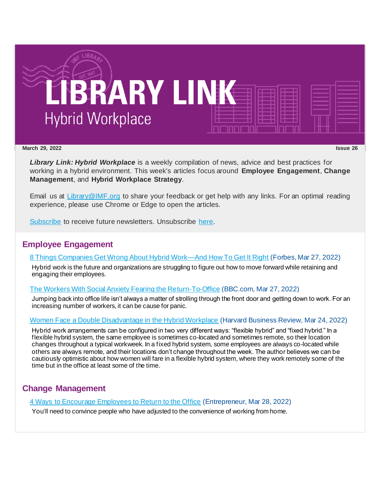

#### **March 29, 2022 Issue 26**

*Library Link: Hybrid Workplace* is a weekly compilation of news, advice and best practices for working in a hybrid environment. This week's articles focus around **Employee Engagement**, **Change Management**, and **Hybrid Workplace Strategy**.

Email us at [Library@IMF.org](mailto:Library@IMF.org) to share your feedback or get help with any links. For an optimal reading experience, please use Chrome or Edge to open the articles.

[Subscribe](http://t.imfconnect.imf.org/r/?id=h75ad94,34efb46,34f03fb&e=cDE9JTQwWlh6QTFOamNwZDAwZ0VMeWh4eHFuUUNwYVZvaWluOThSd0RMeUlhS3JsZmhVVi1UeXBhWjR5a0l2dXBhZ3NOUXVqa1lFcERYa3p4eWd1WHBvdWZ5eXRfU2o0cw&s=F4liGZ866YfvYWuRIaBjgl8_IDJomznuz8WvsEKHYa0) to receive future newsletters. Unsubscribe [here.](http://t.imfconnect.imf.org/r/?id=h75ad94,34efb46,34f03fc&e=cDE9JTQwWlh6QTFOamNwZDAwZ0VMeWh4eHFuUUNwYVZvaWluOThSd0RMeUlhS3JsZmhVVi1UeXBhWjR5a0l2dXBhZ3NOUXVqa1lFcERYa3p4eWd1WHBvdWZ5eXRfU2o0cw&s=pgmVV_wZ9HNBiqLwvZYdHff1ShxF__tobEkrtujHZMA)

# **Employee Engagement**

### [8 Things Companies Get Wrong About Hybrid Work—And How To Get It Right](http://t.imfconnect.imf.org/r/?id=h75ad94,34efb46,34f03fd) (Forbes, Mar 27, 2022)

Hybrid work is the future and organizations are struggling to figure out how to move forward while retaining and engaging their employees.

# [The Workers With Social Anxiety Fearing the Return-To-Office](http://t.imfconnect.imf.org/r/?id=h75ad94,34efb46,34f03fe) (BBC.com, Mar 27, 2022)

Jumping back into office life isn't always a matter of strolling through the front door and getting down to work. For an increasing number of workers, it can be cause for panic.

### [Women Face a Double Disadvantage in the Hybrid Workplace](http://t.imfconnect.imf.org/r/?id=h75ad94,34efb46,34f03ff) (Harvard Business Review, Mar 24, 2022)

Hybrid work arrangements can be configured in two very different ways: "flexible hybrid" and "fixed hybrid." In a flexible hybrid system, the same employee is sometimes co-located and sometimes remote, so their location changes throughout a typical workweek. In a fixed hybrid system, some employees are always co-located while others are always remote, and their locations don't change throughout the week. The author believes we can be cautiously optimistic about how women will fare in a flexible hybrid system, where they work remotely some of the time but in the office at least some of the time.

# **Change Management**

[4 Ways to Encourage Employees to Return to the Office](http://t.imfconnect.imf.org/r/?id=h75ad94,34efb46,34f0400) (Entrepreneur, Mar 28, 2022)

You'll need to convince people who have adjusted to the convenience of working from home.